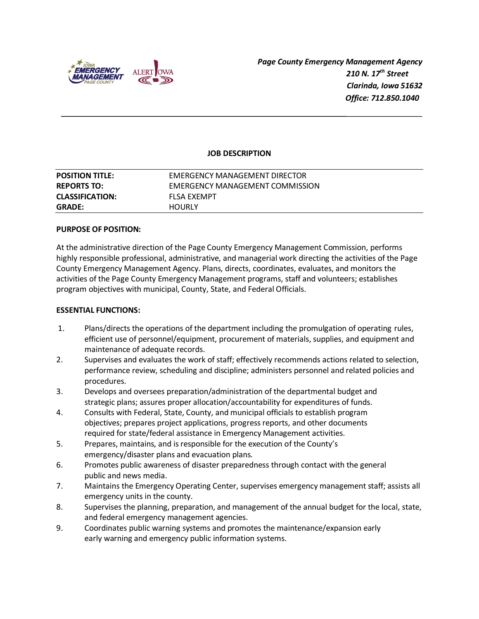

 *Page County Emergency Management Agency 210 N. 17th Street Clarinda, Iowa 51632 Office: 712.850.1040*

### **JOB DESCRIPTION**

| <b>GRADE:</b>          | <b>HOURLY</b>                   |
|------------------------|---------------------------------|
| <b>CLASSIFICATION:</b> | FLSA EXEMPT                     |
| <b>REPORTS TO:</b>     | EMERGENCY MANAGEMENT COMMISSION |
| <b>POSITION TITLE:</b> | EMERGENCY MANAGEMENT DIRECTOR   |

#### **PURPOSE OF POSITION:**

At the administrative direction of the Page County Emergency Management Commission, performs highly responsible professional, administrative, and managerial work directing the activities of the Page County Emergency Management Agency. Plans, directs, coordinates, evaluates, and monitors the activities of the Page County Emergency Management programs, staff and volunteers; establishes program objectives with municipal, County, State, and Federal Officials.

#### **ESSENTIAL FUNCTIONS:**

- 1. Plans/directs the operations of the department including the promulgation of operating rules, efficient use of personnel/equipment, procurement of materials, supplies, and equipment and maintenance of adequate records.
- 2. Supervises and evaluates the work of staff; effectively recommends actions related to selection, performance review, scheduling and discipline; administers personnel and related policies and procedures.
- 3. Develops and oversees preparation/administration of the departmental budget and strategic plans; assures proper allocation/accountability for expenditures of funds.
- 4. Consults with Federal, State, County, and municipal officials to establish program objectives; prepares project applications, progress reports, and other documents required for state/federal assistance in Emergency Management activities.
- 5. Prepares, maintains, and is responsible for the execution of the County's emergency/disaster plans and evacuation plans.
- 6. Promotes public awareness of disaster preparedness through contact with the general public and news media.
- 7. Maintains the Emergency Operating Center, supervises emergency management staff; assists all emergency units in the county.
- 8. Supervises the planning, preparation, and management of the annual budget for the local, state, and federal emergency management agencies.
- 9. Coordinates public warning systems and promotes the maintenance/expansion early early warning and emergency public information systems.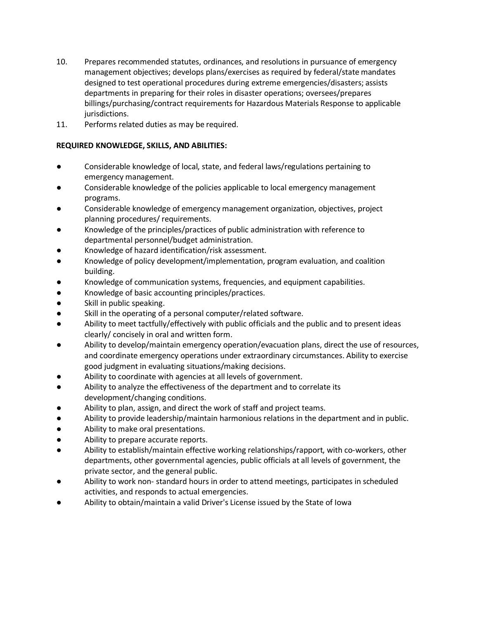- 10. Prepares recommended statutes, ordinances, and resolutions in pursuance of emergency management objectives; develops plans/exercises as required by federal/state mandates designed to test operational procedures during extreme emergencies/disasters; assists departments in preparing for their roles in disaster operations; oversees/prepares billings/purchasing/contract requirements for Hazardous Materials Response to applicable jurisdictions.
- 11. Performs related duties as may be required.

# **REQUIRED KNOWLEDGE, SKILLS, AND ABILITIES:**

- Considerable knowledge of local, state, and federal laws/regulations pertaining to emergency management.
- Considerable knowledge of the policies applicable to local emergency management programs.
- Considerable knowledge of emergency management organization, objectives, project planning procedures/ requirements.
- Knowledge of the principles/practices of public administration with reference to departmental personnel/budget administration.
- Knowledge of hazard identification/risk assessment.
- Knowledge of policy development/implementation, program evaluation, and coalition building.
- Knowledge of communication systems, frequencies, and equipment capabilities.
- Knowledge of basic accounting principles/practices.
- Skill in public speaking.
- Skill in the operating of a personal computer/related software.
- Ability to meet tactfully/effectively with public officials and the public and to present ideas clearly/ concisely in oral and written form.
- Ability to develop/maintain emergency operation/evacuation plans, direct the use of resources, and coordinate emergency operations under extraordinary circumstances. Ability to exercise good judgment in evaluating situations/making decisions.
- Ability to coordinate with agencies at all levels of government.
- Ability to analyze the effectiveness of the department and to correlate its development/changing conditions.
- Ability to plan, assign, and direct the work of staff and project teams.
- Ability to provide leadership/maintain harmonious relations in the department and in public.
- Ability to make oral presentations.
- Ability to prepare accurate reports.
- Ability to establish/maintain effective working relationships/rapport, with co-workers, other departments, other governmental agencies, public officials at all levels of government, the private sector, and the general public.
- Ability to work non-standard hours in order to attend meetings, participates in scheduled activities, and responds to actual emergencies.
- Ability to obtain/maintain a valid Driver's License issued by the State of Iowa